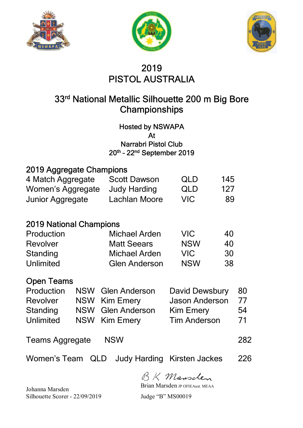





# 2019 PISTOL AUSTRALIA

# 33rd National Metallic Silhouette 200 m Big Bore **Championships**

Hosted by NSWAPA At Narrabri Pistol Club 20th – 22nd September 2019

#### 2019 Aggregate Champions

| 4 Match Aggregate       | <b>Scott Dawson</b> | QLD        | 145 |
|-------------------------|---------------------|------------|-----|
| Women's Aggregate       | Judy Harding        | <b>QLD</b> | 127 |
| <b>Junior Aggregate</b> | Lachlan Moore       | VIC.       | -89 |

#### 2019 National Champions

| Production       | Michael Arden        | VIC.       | 40 |
|------------------|----------------------|------------|----|
| <b>Revolver</b>  | <b>Matt Seears</b>   | <b>NSW</b> | 40 |
| Standing         | Michael Arden        | VIC.       | 30 |
| <b>Unlimited</b> | <b>Glen Anderson</b> | <b>NSW</b> | 38 |

#### Open Teams

|  | David Dewsbury 80                                                        |    |
|--|--------------------------------------------------------------------------|----|
|  | <b>Jason Anderson</b>                                                    | 77 |
|  | Kim Emery                                                                | 54 |
|  | <b>Tim Anderson</b>                                                      | 71 |
|  | NSW Glen Anderson<br>NSW Kim Emery<br>NSW Glen Anderson<br>NSW Kim Emery |    |

#### Teams Aggregate NSW 282

Women's Team QLD Judy Harding Kirsten Jackes 226

BK Mansclen

Brian Marsden JP OFIEAust. MEAA

Johanna Marsden Silhouette Scorer - 22/09/2019 Judge "B" MS00019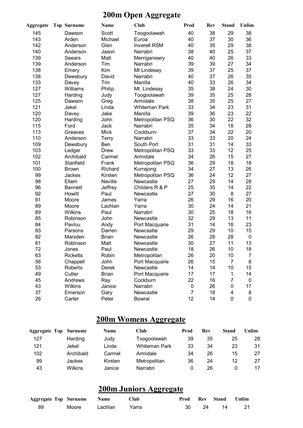### **200m Open Aggregate**

| <b>Aggregate</b> | <b>Top Surname</b> |                 | <b>Name</b>  | <b>Club</b>          | Prod           | <b>Rev</b> | <b>Stand</b> | Unlim       |
|------------------|--------------------|-----------------|--------------|----------------------|----------------|------------|--------------|-------------|
| 145              |                    | Dawson          | Scott        | Toogoolawah          | 40             | 38         | 29           | 38          |
| 143              |                    | Arden           | Michael      | Euroa                | 40             | 37         | 30           | 36          |
| 142              |                    | Anderson        | Glen         | <b>Inverell RSM</b>  | 40             | 35         | 29           | 38          |
| 140              |                    | Anderson        | Jason        | Narrabri             | 38             | 40         | 25           | 37          |
| 139              |                    | Seears          | Matt         | Merriganowry         | 40             | 40         | 26           | 33          |
| 139              |                    | Anderson        | Tim          | Narrabri             | 39             | 39         | 27           | 34          |
| 138              |                    | Emery           | Kim          | Mt Lindesay          | 39             | 37         | 25           | 37          |
| 138              |                    | Dewsbury        | David        | Narrabri             | 40             | 37         | 26           | 35          |
| 133              |                    | Davey           | Tim          | Manilla              | 40             | 33         | 26           | 34          |
| 127              |                    | Williams        | Philip       | Mt. Lindesay         | 35             | 38         | 24           | 30          |
| 127              |                    | Harding         | Judy         | Toogoolawah          | 39             | 35         | 25           | 28          |
| 125              |                    | Dawson          | Greg         | Armidale             | 38             | 35         | 25           | 27          |
| 121              |                    | Jekel           | Linda        | <b>Whiteman Park</b> | 33             | 34         | 23           | 31          |
| 120              |                    | Davey           | Jake         | Manilla              | 39             | 36         | 23           | 22          |
| 120              |                    | Harding         | John         | Metropolitan PSQ     | 36             | 30         | 22           | 32          |
| 115              |                    | Ford            | Jack         | Narrabri             | 35             | 34         | 18           | 28          |
| 113              |                    | Greaves         | <b>Mick</b>  | Cockburn-            | 37             | 34         | 22           | 20          |
| 110              |                    | Anderson        | <b>Terry</b> | Narrabri             | 33             | 33         | 20           | 24          |
| 109              |                    | Dewsbury        | Ben          | South Port           | 31             | 31         | 14           | 33          |
| 103              |                    | Ledger          | <b>Drew</b>  | Metropolitan PSQ     | 33             | 33         | 12           | 25          |
| 102              |                    | Archibald       | Carmel       | Armidale             | 34             | 26         | 15           | 27          |
| 101              |                    | Stanfield       | Frank        | Metropolitan PSQ     | 36             | 29         | 18           | 18          |
| 100              |                    | <b>Brown</b>    | Richard      | Kurrajong            | 34             | 27         | 13           | 26          |
| 99               |                    | Jackes          | Kirsten      | Metropolitan PSQ     | 36             | 24         | 12           | 27          |
| 98               |                    | Ellem           | Neville      | Newcastle            | 27             | 29         | 14           | 28          |
| 96               |                    | <b>Bennett</b>  | Jeffrey      | Childers R & P       | 25             | 35         | 14           | 22          |
| 92               |                    | Howitt          | Paul         | Newcastle            | 27             | 30         | 8            | 27          |
| 91               |                    | Moore           | James        | Yarra                | 26             | 29         | 16           | 20          |
| 89               |                    | Moore           | Lachlan      | Yarra                | 30             | 24         | 14           | 21          |
| 89               |                    | Wilkins         | Paul         | Narrabri             | 30             | 25         | 18           | 16          |
| 85               |                    | Robinson        | John         | Newcastle            | 32             | 29         | 13           | 11          |
| 84               |                    | Pavlou          | Andy         | Port Macquarie       | 31             | 14         | 16           | 23          |
| 83               |                    | Parsons         | Darren       | Newcastle            | 29             | 29         | 10           | 15          |
| 82               |                    | Marsden         | <b>Brian</b> | Newcastle            | 26             | 28         | 28           | $\mathbf 0$ |
| 81               |                    | Robinson        | Matt         | Newcastle            | 30             | 27         | 11           | 13          |
| 72               |                    | Jones           | Paul         | Newcastle            | 18             | 26         | 10           | 18          |
| 63               |                    | <b>Ricketts</b> | Robin        | Metropolitan         | 26             | 20         | 10           | 7           |
| 56               |                    | Chappell        | John         | Port Macquarie       | 26             | 15         | 7            | 8           |
| 53               |                    | Roberts         | Derek        | Newcastle            | 14             | 14         | 10           | 15          |
| 49               |                    | Cutler          | <b>Brian</b> | Port Macquarie       | 17             | 17         | 1            | 14          |
| 45               |                    | Andrews         | Ray          | Cockburn             | 22             | 16         | 7            | 0           |
| 43               |                    | <b>Wilkins</b>  | Janice       | Narrabri             | 0              | 26         | 0            | 17          |
| 37               |                    | Emerson         | Gary         | Newcastle            | $\overline{7}$ | 18         | 4            | 8           |
| 26               |                    | Carter          | Peter        | <b>Bowral</b>        | 12             | 14         | 0            | 0           |
|                  |                    |                 |              |                      |                |            |              |             |

## **200m Womens Aggregate**

| <b>Aggregate Top Surname</b> |                | <b>Name</b> | <b>Club</b>          | Prod | Rev | <b>Stand</b> | Unlim |
|------------------------------|----------------|-------------|----------------------|------|-----|--------------|-------|
| 127                          | Harding        | Judy        | Toogoolawah          | 39   | 35  | 25           | 28    |
| 121                          | Jekel          | Linda       | <b>Whiteman Park</b> | 33   | 34  | 23           | 31    |
| 102                          | Archibald      | Carmel      | Armidale             | 34   | 26  | 15           | 27    |
| 99                           | Jackes         | Kirsten     | Metropolitan         | 36   | 24  | 12           | 27    |
| 43                           | <b>Wilkins</b> | Janice      | Narrabri             | 0    | 26  |              | 17    |

## **200m Juniors Aggregate**

| <b>Aggregate Top Surname Name</b> |       |         | Club    |    |      | Prod Rev Stand Unlim |    |
|-----------------------------------|-------|---------|---------|----|------|----------------------|----|
| 89                                | Moore | Lachlan | - Yarra | 30 | - 24 | - 14                 | 21 |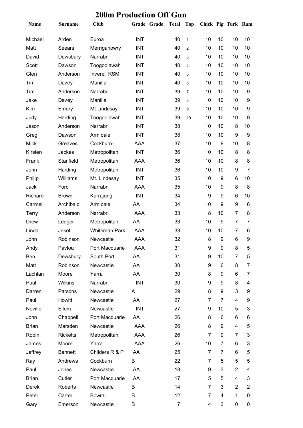| Name         | <b>Surname</b>  | <b>Club</b>          |            | Grade Grade | <b>Total</b>   | <b>Top</b>     | Chick Pig Turk Ram |                |                |                |
|--------------|-----------------|----------------------|------------|-------------|----------------|----------------|--------------------|----------------|----------------|----------------|
| Michael      | Arden           | Euroa                | <b>INT</b> |             | 40             | $\mathbf{1}$   | 10                 | 10             | 10             | 10             |
| Matt         | Seears          | Merriganowry         | <b>INT</b> |             | 40             | $\overline{c}$ | 10                 | 10             | 10             | 10             |
| David        | Dewsbury        | Narrabri             | <b>INT</b> |             | 40             | 3              | 10                 | 10             | 10             | 10             |
| Scott        | Dawson          | Toogoolawah          | <b>INT</b> |             | 40             | $\overline{4}$ | 10                 | 10             | 10             | 10             |
| Glen         | Anderson        | <b>Inverell RSM</b>  | <b>INT</b> |             | 40             | 5              | 10                 | 10             | 10             | 10             |
| Tim          | Davey           | Manilla              | <b>INT</b> |             | 40             | 6              | 10                 | 10             | 10             | 10             |
| Tim          | Anderson        | Narrabri             | <b>INT</b> |             | 39             | $\overline{7}$ | 10                 | 10             | 10             | 9              |
| Jake         | Davey           | Manilla              | <b>INT</b> |             | 39             | 8              | 10                 | 10             | 10             | 9              |
| Kim          | Emery           | Mt Lindesay          | <b>INT</b> |             | 39             | 9              | 10                 | 10             | 10             | 9              |
| Judy         | Harding         | Toogoolawah          | <b>INT</b> |             | 39             | 10             | 10                 | 10             | 10             | 9              |
| Jason        | Anderson        | Narrabri             | <b>INT</b> |             | 38             |                | 10                 | 10             | 8              | 10             |
| Greg         | Dawson          | Armidale             | <b>INT</b> |             | 38             |                | 10                 | 10             | 9              | 9              |
| <b>Mick</b>  | Greaves         | Cockburn-            | AAA        |             | 37             |                | 10                 | 9              | 10             | 8              |
| Kirsten      | Jackes          | Metropolitan         | <b>INT</b> |             | 36             |                | 10                 | 10             | 8              | 8              |
| Frank        | Stanfield       | Metropolitan         | AAA        |             | 36             |                | 10                 | 10             | 8              | 8              |
| John         | Harding         | Metropolitan         | <b>INT</b> |             | 36             |                | 10                 | 10             | 9              | $\overline{7}$ |
| Philip       | Williams        | Mt. Lindesay         | <b>INT</b> |             | 35             |                | 10                 | 9              | 6              | 10             |
| Jack         | Ford            | Narrabri             | AAA        |             | 35             |                | 10                 | 9              | 8              | 8              |
| Richard      | <b>Brown</b>    | Kurrajong            | <b>INT</b> |             | 34             |                | 9                  | 9              | 6              | 10             |
| Carmel       | Archibald       | Armidale             | AA         |             | 34             |                | 10                 | 9              | 9              | 6              |
| <b>Terry</b> | Anderson        | Narrabri             | AAA        |             | 33             |                | 8                  | 10             | $\overline{7}$ | 8              |
| <b>Drew</b>  | Ledger          | Metropolitan         | AA         |             | 33             |                | 10                 | 9              | $\overline{7}$ | 7              |
| Linda        | Jekel           | <b>Whiteman Park</b> | AAA        |             | 33             |                | 10                 | 10             | $\overline{7}$ | 6              |
| John         | Robinson        | Newcastle            | <b>AAA</b> |             | 32             |                | 8                  | 9              | 6              | 9              |
| Andy         | Pavlou          | Port Macquarie       | AAA        |             | 31             |                | 9                  | 9              | 8              | 5              |
| Ben          | Dewsbury        | South Port           | AA         |             | 31             |                | 9                  | 10             | 7              | 5              |
| Matt         | Robinson        | Newcastle            | AA         |             | 30             |                | 9                  | 6              | 8              | 7              |
| Lachlan      | Moore           | Yarra                | AA         |             | 30             |                | 8                  | 9              | 6              | 7              |
| Paul         | Wilkins         | Narrabri             | <b>INT</b> |             | 30             |                | 9                  | 9              | 8              | 4              |
| Darren       | Parsons         | Newcastle            | A          |             | 29             |                | 8                  | 9              | 3              | 9              |
| Paul         | Howitt          | Newcastle            | AA         |             | 27             |                | 7                  | $\overline{7}$ | 4              | 9              |
| Neville      | Ellem           | Newcastle            | <b>INT</b> |             | 27             |                | 9                  | 10             | 5              | 3              |
| John         | Chappell        | Port Macquarie       | AA         |             | 26             |                | 8                  | 6              | 6              | 6              |
| <b>Brian</b> | Marsden         | Newcastle            | <b>AAA</b> |             | 26             |                | 8                  | 9              | 4              | 5              |
| Robin        | <b>Ricketts</b> | Metropolitan         | AAA        |             | 26             |                | 7                  | 9              | $\overline{7}$ | 3              |
| James        | Moore           | Yarra                | AAA        |             | 26             |                | 10                 | 7              | 6              | 3              |
| Jeffrey      | <b>Bennett</b>  | Childers R & P       | AA         |             | 25             |                | $\overline{7}$     | $\overline{7}$ | 6              | 5              |
| Ray          | Andrews         | Cockburn             | B          |             | 22             |                | $\overline{7}$     | 5              | 5              | 5              |
| Paul         | Jones           | Newcastle            | AA         |             | 18             |                | 9                  | 3              | $\overline{2}$ | 4              |
| <b>Brian</b> | Cutler          | Port Macquarie       | AA         |             | 17             |                | 5                  | 5              | 4              | 3              |
| Derek        | Roberts         | Newcastle            | B          |             | 14             |                | 7                  | 3              | $\overline{2}$ | $\overline{2}$ |
| Peter        | Carter          | <b>Bowral</b>        | В          |             | 12             |                | 7                  | 4              | 1              | 0              |
| Gary         | Emerson         | Newcastle            | B          |             | $\overline{7}$ |                | 4                  | 3              | $\pmb{0}$      | 0              |

#### **200m Production Off Gun**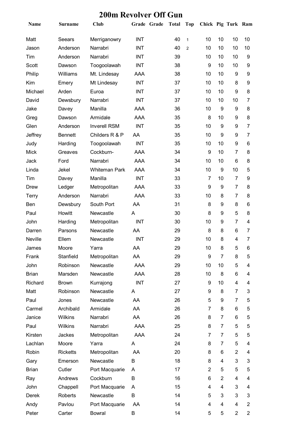| Name         | <b>Surname</b>  | <b>Club</b>          |            | Grade Grade | <b>Total</b> | Top            | Chick Pig Turk Ram |                |                |                |
|--------------|-----------------|----------------------|------------|-------------|--------------|----------------|--------------------|----------------|----------------|----------------|
| Matt         | Seears          | Merriganowry         | <b>INT</b> |             | 40           | $\mathbf{1}$   | 10                 | 10             | 10             | 10             |
| Jason        | Anderson        | Narrabri             | <b>INT</b> |             | 40           | $\overline{2}$ | 10                 | 10             | 10             | 10             |
| Tim          | Anderson        | Narrabri             | <b>INT</b> |             | 39           |                | 10                 | 10             | 10             | 9              |
| <b>Scott</b> | Dawson          | Toogoolawah          | <b>INT</b> |             | 38           |                | 9                  | 10             | 10             | 9              |
| Philip       | Williams        | Mt. Lindesay         | <b>AAA</b> |             | 38           |                | 10                 | 10             | 9              | 9              |
| Kim          | Emery           | Mt Lindesay          | <b>INT</b> |             | 37           |                | 10                 | 10             | 8              | 9              |
| Michael      | Arden           | Euroa                | <b>INT</b> |             | 37           |                | 10                 | 10             | 9              | 8              |
| David        | Dewsbury        | Narrabri             | <b>INT</b> |             | 37           |                | 10                 | 10             | 10             | 7              |
| Jake         | Davey           | Manilla              | <b>AAA</b> |             | 36           |                | 10                 | 9              | 9              | 8              |
| Greg         | Dawson          | Armidale             | <b>AAA</b> |             | 35           |                | 8                  | 10             | 9              | 8              |
| Glen         | Anderson        | <b>Inverell RSM</b>  | <b>INT</b> |             | 35           |                | 10                 | 9              | 9              | $\overline{7}$ |
| Jeffrey      | <b>Bennett</b>  | Childers R & P       | AA         |             | 35           |                | 10                 | 9              | 9              | 7              |
| Judy         | Harding         | Toogoolawah          | <b>INT</b> |             | 35           |                | 10                 | 10             | 9              | 6              |
| <b>Mick</b>  | Greaves         | Cockburn-            | <b>AAA</b> |             | 34           |                | 9                  | 10             | $\overline{7}$ | 8              |
| Jack         | Ford            | Narrabri             | <b>AAA</b> |             | 34           |                | 10                 | 10             | 6              | 8              |
| Linda        | Jekel           | <b>Whiteman Park</b> | AAA        |             | 34           |                | 10                 | 9              | 10             | 5              |
| Tim          | Davey           | Manilla              | <b>INT</b> |             | 33           |                | 7                  | 10             | $\overline{7}$ | 9              |
| Drew         | Ledger          | Metropolitan         | AAA        |             | 33           |                | 9                  | 9              | $\overline{7}$ | 8              |
| <b>Terry</b> | Anderson        | Narrabri             | <b>AAA</b> |             | 33           |                | 10                 | 8              | $\overline{7}$ | 8              |
| Ben          | Dewsbury        | South Port           | AA         |             | 31           |                | 8                  | 9              | 8              | 6              |
| Paul         | Howitt          | Newcastle            | A          |             | 30           |                | 8                  | 9              | 5              | 8              |
| John         | Harding         | Metropolitan         | <b>INT</b> |             | 30           |                | 10                 | 9              | $\overline{7}$ | 4              |
| Darren       | Parsons         | Newcastle            | AA         |             | 29           |                | 8                  | 8              | 6              | 7              |
| Neville      | Ellem           | Newcastle            | <b>INT</b> |             | 29           |                | 10                 | 8              | 4              | $\overline{7}$ |
| James        | Moore           | Yarra                | AA         |             | 29           |                | 10                 | 8              | 5              | 6              |
| Frank        | Stanfield       | Metropolitan         | AA         |             | 29           |                | 9                  | $\overline{7}$ | 8              | 5              |
| John         | Robinson        | Newcastle            | AAA        |             | 29           |                | 10                 | 10             | 5              | 4              |
| <b>Brian</b> | Marsden         | Newcastle            | AAA        |             | 28           |                | 10                 | 8              | 6              | 4              |
| Richard      | <b>Brown</b>    | Kurrajong            | <b>INT</b> |             | 27           |                | 9                  | 10             | 4              | 4              |
| Matt         | Robinson        | Newcastle            | A          |             | 27           |                | 9                  | 8              | $\overline{7}$ | 3              |
| Paul         | Jones           | Newcastle            | AA         |             | 26           |                | 5                  | 9              | $\overline{7}$ | 5              |
| Carmel       | Archibald       | Armidale             | AA         |             | 26           |                | 7                  | 8              | 6              | 5              |
| Janice       | <b>Wilkins</b>  | Narrabri             | AA         |             | 26           |                | 8                  | $\overline{7}$ | 6              | 5              |
| Paul         | <b>Wilkins</b>  | Narrabri             | AAA        |             | 25           |                | 8                  | 7              | 5              | 5              |
| Kirsten      | Jackes          | Metropolitan         | AAA        |             | 24           |                | 7                  | 7              | 5              | 5              |
| Lachlan      | Moore           | Yarra                | A          |             | 24           |                | 8                  | 7              | 5              | 4              |
| Robin        | <b>Ricketts</b> | Metropolitan         | AA         |             | 20           |                | 8                  | 6              | $\overline{2}$ | 4              |
| Gary         | Emerson         | Newcastle            | B          |             | 18           |                | 8                  | 4              | 3              | 3              |
| <b>Brian</b> | Cutler          | Port Macquarie       | A          |             | 17           |                | 2                  | 5              | 5              | 5              |
| Ray          | Andrews         | Cockburn             | B          |             | 16           |                | 6                  | $\overline{2}$ | 4              | 4              |
| John         | Chappell        | Port Macquarie       | A          |             | 15           |                | 4                  | 4              | 3              | 4              |
| <b>Derek</b> | Roberts         | Newcastle            | B          |             | 14           |                | 5                  | 3              | 3              | 3              |
| Andy         | Pavlou          | Port Macquarie       | AA         |             | 14           |                | 4                  | 4              | 4              | 2              |
| Peter        | Carter          | <b>Bowral</b>        | B          |             | 14           |                | 5                  | 5              | $\overline{2}$ | $\overline{2}$ |

### **200m Revolver Off Gun**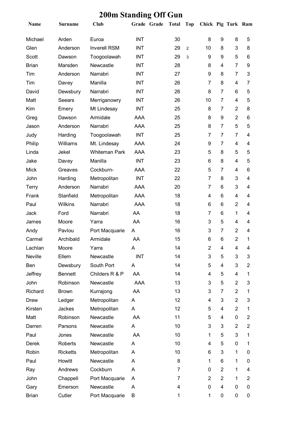| Name         | <b>Surname</b>  | <b>Club</b>          |            | Grade Grade | <b>Total</b>   | <b>Top</b>     | Chick Pig Turk Ram      |                |                |                |
|--------------|-----------------|----------------------|------------|-------------|----------------|----------------|-------------------------|----------------|----------------|----------------|
| Michael      | Arden           | Euroa                | <b>INT</b> |             | 30             |                | 8                       | 9              | 8              | 5              |
| Glen         | Anderson        | <b>Inverell RSM</b>  | <b>INT</b> |             | 29             | $\overline{2}$ | 10                      | 8              | 3              | 8              |
| <b>Scott</b> | Dawson          | Toogoolawah          | <b>INT</b> |             | 29             | 3              | 9                       | 9              | 5              | 6              |
| <b>Brian</b> | Marsden         | Newcastle            | <b>INT</b> |             | 28             |                | 8                       | 4              | $\overline{7}$ | 9              |
| Tim          | Anderson        | Narrabri             | <b>INT</b> |             | 27             |                | 9                       | 8              | $\overline{7}$ | 3              |
| Tim          | Davey           | Manilla              | <b>INT</b> |             | 26             |                | $\overline{7}$          | 8              | $\overline{4}$ | 7              |
| David        | Dewsbury        | Narrabri             | <b>INT</b> |             | 26             |                | 8                       | $\overline{7}$ | 6              | 5              |
| Matt         | Seears          | Merriganowry         | <b>INT</b> |             | 26             |                | 10                      | $\overline{7}$ | $\overline{4}$ | 5              |
| Kim          | Emery           | Mt Lindesay          | <b>INT</b> |             | 25             |                | 8                       | $\overline{7}$ | $\overline{2}$ | 8              |
| Greg         | Dawson          | Armidale             | <b>AAA</b> |             | 25             |                | 8                       | 9              | $\overline{2}$ | 6              |
| Jason        | Anderson        | Narrabri             | AAA        |             | 25             |                | 8                       | $\overline{7}$ | 5              | 5              |
| Judy         | Harding         | Toogoolawah          | <b>INT</b> |             | 25             |                | 7                       | $\overline{7}$ | $\overline{7}$ | 4              |
| Philip       | Williams        | Mt. Lindesay         | AAA        |             | 24             |                | 9                       | $\overline{7}$ | $\overline{4}$ | 4              |
| Linda        | Jekel           | <b>Whiteman Park</b> | AAA        |             | 23             |                | 5                       | 8              | 5              | 5              |
| Jake         | Davey           | Manilla              | <b>INT</b> |             | 23             |                | 6                       | 8              | $\overline{4}$ | 5              |
| <b>Mick</b>  | Greaves         | Cockburn-            | AAA        |             | 22             |                | 5                       | 7              | 4              | 6              |
| John         | Harding         | Metropolitan         | <b>INT</b> |             | 22             |                | $\overline{7}$          | 8              | 3              | 4              |
| <b>Terry</b> | Anderson        | Narrabri             | AAA        |             | 20             |                | 7                       | 6              | 3              | 4              |
| Frank        | Stanfield       | Metropolitan         | AAA        |             | 18             |                | 4                       | 6              | 4              | 4              |
| Paul         | Wilkins         | Narrabri             | AAA        |             | 18             |                | 6                       | 6              | $\overline{2}$ | 4              |
| Jack         | Ford            | Narrabri             | AA         |             | 18             |                | $\overline{7}$          | 6              | 1              | 4              |
| James        | Moore           | Yarra                | AA         |             | 16             |                | 3                       | 5              | 4              | 4              |
| Andy         | Pavlou          | Port Macquarie       | A          |             | 16             |                | 3                       | $\overline{7}$ | 2              | 4              |
| Carmel       | Archibald       | Armidale             | AA         |             | 15             |                | $6\phantom{1}$          | 6              | $\overline{2}$ | 1              |
| Lachlan      | Moore           | Yarra                | Α          |             | 14             |                | $\overline{\mathbf{c}}$ | 4              | 4              | 4              |
| Neville      | Ellem           | Newcastle            | <b>INT</b> |             | 14             |                | 3                       | 5              | $\mathbf{3}$   | 3              |
| Ben          | Dewsbury        | South Port           | A          |             | 14             |                | 5                       | 4              | 3              | $\overline{2}$ |
| Jeffrey      | <b>Bennett</b>  | Childers R & P       | AA         |             | 14             |                | 4                       | 5              | 4              | 1              |
| John         | Robinson        | Newcastle            | AAA        |             | 13             |                | 3                       | 5              | $\overline{2}$ | 3              |
| Richard      | <b>Brown</b>    | Kurrajong            | AA         |             | 13             |                | 3                       | $\overline{7}$ | $\overline{2}$ | 1              |
| <b>Drew</b>  | Ledger          | Metropolitan         | A          |             | 12             |                | 4                       | 3              | $\overline{2}$ | 3              |
| Kirsten      | Jackes          | Metropolitan         | A          |             | 12             |                | 5                       | 4              | $\overline{2}$ | 1              |
| Matt         | Robinson        | Newcastle            | AA         |             | 11             |                | 5                       | 4              | 0              | $\overline{2}$ |
| Darren       | Parsons         | Newcastle            | A          |             | 10             |                | 3                       | 3              | 2              | $\overline{c}$ |
| Paul         | Jones           | Newcastle            | AA         |             | 10             |                | 1                       | 5              | 3              | 1              |
| Derek        | Roberts         | Newcastle            | A          |             | 10             |                | 4                       | 5              | 0              | 1              |
| Robin        | <b>Ricketts</b> | Metropolitan         | A          |             | 10             |                | 6                       | 3              | 1              | 0              |
| Paul         | Howitt          | Newcastle            | A          |             | 8              |                | 1                       | 6              | 1              | 0              |
| Ray          | Andrews         | Cockburn             | A          |             | $\overline{7}$ |                | 0                       | $\overline{2}$ | 1              | 4              |
| John         | Chappell        | Port Macquarie       | A          |             | $\overline{7}$ |                | $\overline{2}$          | $\overline{2}$ | 1              | $\overline{2}$ |
| Gary         | Emerson         | Newcastle            | A          |             | 4              |                | 0                       | 4              | 0              | 0              |
| <b>Brian</b> | Cutler          | Port Macquarie       | B          |             | 1              |                | 1                       | 0              | $\pmb{0}$      | 0              |

## **200m Standing Off Gun**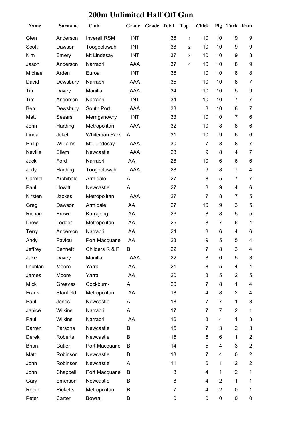## **200m Unlimited Half Off Gun**

| Name         | <b>Surname</b>  | <b>Club</b>          | Grade      | Grade Total |    | <b>Top</b>     | <b>Chick</b>   | Pig                     | Turk Ram                 |                          |
|--------------|-----------------|----------------------|------------|-------------|----|----------------|----------------|-------------------------|--------------------------|--------------------------|
| Glen         | Anderson        | <b>Inverell RSM</b>  | <b>INT</b> |             | 38 | $\mathbf{1}$   | 10             | 10                      | 9                        | 9                        |
| Scott        | Dawson          | Toogoolawah          | <b>INT</b> |             | 38 | $\overline{c}$ | 10             | 10                      | 9                        | 9                        |
| Kim          | Emery           | Mt Lindesay          | <b>INT</b> |             | 37 | 3              | 10             | 10                      | 9                        | 8                        |
| Jason        | Anderson        | Narrabri             | <b>AAA</b> |             | 37 | 4              | 10             | 10                      | 8                        | 9                        |
| Michael      | Arden           | Euroa                | <b>INT</b> |             | 36 |                | 10             | 10                      | 8                        | 8                        |
| David        | Dewsbury        | Narrabri             | <b>AAA</b> |             | 35 |                | 10             | 10                      | 8                        | $\overline{7}$           |
| Tim          | Davey           | Manilla              | AAA        |             | 34 |                | 10             | 10                      | 5                        | $\boldsymbol{9}$         |
| Tim          | Anderson        | Narrabri             | <b>INT</b> |             | 34 |                | 10             | 10                      | 7                        | $\overline{7}$           |
| Ben          | Dewsbury        | South Port           | AAA        |             | 33 |                | 8              | 10                      | 8                        | $\overline{7}$           |
| Matt         | Seears          | Merriganowry         | <b>INT</b> |             | 33 |                | 10             | 10                      | $\overline{7}$           | $\,6$                    |
| John         | Harding         | Metropolitan         | AAA        |             | 32 |                | 10             | 8                       | 8                        | $\,6$                    |
| Linda        | Jekel           | <b>Whiteman Park</b> | A          |             | 31 |                | 10             | 9                       | 6                        | $6\phantom{1}$           |
| Philip       | Williams        | Mt. Lindesay         | <b>AAA</b> |             | 30 |                | $\overline{7}$ | 8                       | 8                        | $\overline{7}$           |
| Neville      | Ellem           | Newcastle            | <b>AAA</b> |             | 28 |                | 9              | 8                       | 4                        | $\overline{7}$           |
| Jack         | Ford            | Narrabri             | AA         |             | 28 |                | 10             | 6                       | 6                        | 6                        |
| Judy         | Harding         | Toogoolawah          | AAA        |             | 28 |                | 9              | 8                       | $\overline{7}$           | $\overline{\mathbf{4}}$  |
| Carmel       | Archibald       | Armidale             | A          |             | 27 |                | 8              | 5                       | 7                        | $\overline{7}$           |
| Paul         | Howitt          | Newcastle            | A          |             | 27 |                | 8              | 9                       | $\overline{\mathcal{A}}$ | 6                        |
| Kirsten      | Jackes          | Metropolitan         | <b>AAA</b> |             | 27 |                | $\overline{7}$ | 8                       | 7                        | 5                        |
| Greg         | Dawson          | Armidale             | AA         |             | 27 |                | 10             | 9                       | 3                        | 5                        |
| Richard      | <b>Brown</b>    | Kurrajong            | AA         |             | 26 |                | 8              | 8                       | 5                        | 5                        |
| <b>Drew</b>  | Ledger          | Metropolitan         | AA         |             | 25 |                | 8              | 7                       | 6                        | 4                        |
| <b>Terry</b> | Anderson        | Narrabri             | AA         |             | 24 |                | 8              | 6                       | 4                        | 6                        |
| Andy         | Pavlou          | Port Macquarie       | AA         |             | 23 |                | 9              | 5                       | 5                        | 4                        |
| Jeffrey      | Bennett         | Childers R & P       | В          |             | 22 |                | 7              | 8                       | 3                        | 4                        |
| Jake         | Davey           | Manilla              | AAA        |             | 22 |                | 8              | 6                       | 5                        | 3                        |
| Lachlan      | Moore           | Yarra                | AA         |             | 21 |                | 8              | 5                       | 4                        | $\overline{\mathcal{A}}$ |
| James        | Moore           | Yarra                | AA         |             | 20 |                | 8              | 5                       | $\overline{2}$           | 5                        |
| <b>Mick</b>  | Greaves         | Cockburn-            | A          |             | 20 |                | $\overline{7}$ | 8                       | $\mathbf{1}$             | 4                        |
| Frank        | Stanfield       | Metropolitan         | AA         |             | 18 |                | 4              | 8                       | $\overline{2}$           | 4                        |
| Paul         | Jones           | Newcastle            | A          |             | 18 |                | $\overline{7}$ | $\overline{7}$          | $\mathbf{1}$             | 3                        |
| Janice       | Wilkins         | Narrabri             | A          |             | 17 |                | 7              | 7                       | $\overline{2}$           | $\mathbf 1$              |
| Paul         | Wilkins         | Narrabri             | AA         |             | 16 |                | 8              | $\overline{\mathbf{4}}$ | 1                        | 3                        |
| Darren       | Parsons         | Newcastle            | В          |             | 15 |                | 7              | 3                       | $\overline{2}$           | 3                        |
| Derek        | Roberts         | Newcastle            | B          |             | 15 |                | 6              | 6                       | 1                        | $\overline{2}$           |
| <b>Brian</b> | Cutler          | Port Macquarie       | B          |             | 14 |                | 5              | 4                       | 3                        | $\overline{2}$           |
| Matt         | Robinson        | Newcastle            | B          |             | 13 |                | $\overline{7}$ | 4                       | $\mathbf 0$              | $\boldsymbol{2}$         |
| John         | Robinson        | Newcastle            | A          |             | 11 |                | 6              | $\mathbf 1$             | $\overline{2}$           | $\overline{2}$           |
| John         | Chappell        | Port Macquarie       | B          |             | 8  |                | 4              | $\mathbf 1$             | $\overline{2}$           | $\mathbf 1$              |
| Gary         | Emerson         | Newcastle            | B          |             | 8  |                | 4              | $\overline{2}$          | 1                        | 1                        |
| Robin        | <b>Ricketts</b> | Metropolitan         | B          |             | 7  |                | 4              | $\overline{2}$          | 0                        | 1                        |
| Peter        | Carter          | <b>Bowral</b>        | В          |             | 0  |                | 0              | 0                       | 0                        | 0                        |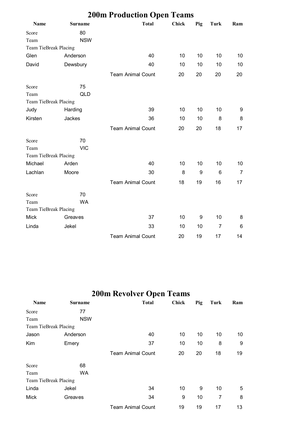| <b>200m Production Open Teams</b> |                |                          |              |     |                |     |  |  |  |  |  |
|-----------------------------------|----------------|--------------------------|--------------|-----|----------------|-----|--|--|--|--|--|
| <b>Name</b>                       | <b>Surname</b> | <b>Total</b>             | <b>Chick</b> | Pig | Turk           | Ram |  |  |  |  |  |
| Score                             | 80             |                          |              |     |                |     |  |  |  |  |  |
| Team                              | <b>NSW</b>     |                          |              |     |                |     |  |  |  |  |  |
| Team TieBreak Placing             |                |                          |              |     |                |     |  |  |  |  |  |
| Glen                              | Anderson       | 40                       | 10           | 10  | 10             | 10  |  |  |  |  |  |
| David                             | Dewsbury       | 40                       | 10           | 10  | 10             | 10  |  |  |  |  |  |
|                                   |                | <b>Team Animal Count</b> | 20           | 20  | 20             | 20  |  |  |  |  |  |
| Score                             | 75             |                          |              |     |                |     |  |  |  |  |  |
| Team                              | QLD            |                          |              |     |                |     |  |  |  |  |  |
| Team TieBreak Placing             |                |                          |              |     |                |     |  |  |  |  |  |
| Judy                              | Harding        | 39                       | 10           | 10  | 10             | 9   |  |  |  |  |  |
| Kirsten                           | Jackes         | 36                       | 10           | 10  | 8              | 8   |  |  |  |  |  |
|                                   |                | <b>Team Animal Count</b> | 20           | 20  | 18             | 17  |  |  |  |  |  |
| Score                             | 70             |                          |              |     |                |     |  |  |  |  |  |
| Team                              | <b>VIC</b>     |                          |              |     |                |     |  |  |  |  |  |
| Team TieBreak Placing             |                |                          |              |     |                |     |  |  |  |  |  |
| Michael                           | Arden          | 40                       | 10           | 10  | 10             | 10  |  |  |  |  |  |
| Lachlan                           | Moore          | 30                       | 8            | 9   | 6              | 7   |  |  |  |  |  |
|                                   |                | <b>Team Animal Count</b> | 18           | 19  | 16             | 17  |  |  |  |  |  |
| Score                             | 70             |                          |              |     |                |     |  |  |  |  |  |
| Team                              | <b>WA</b>      |                          |              |     |                |     |  |  |  |  |  |
| Team TieBreak Placing             |                |                          |              |     |                |     |  |  |  |  |  |
| <b>Mick</b>                       | Greaves        | 37                       | 10           | 9   | 10             | 8   |  |  |  |  |  |
| Linda                             | Jekel          | 33                       | 10           | 10  | $\overline{7}$ | 6   |  |  |  |  |  |
|                                   |                | <b>Team Animal Count</b> | 20           | 19  | 17             | 14  |  |  |  |  |  |

# **200m Revolver Open Teams**

| Name                  | <b>Surname</b> | <b>Total</b>             | <b>Chick</b> | Pig | Turk | Ram |
|-----------------------|----------------|--------------------------|--------------|-----|------|-----|
| Score                 | 77             |                          |              |     |      |     |
| Team                  | <b>NSW</b>     |                          |              |     |      |     |
| Team TieBreak Placing |                |                          |              |     |      |     |
| Jason                 | Anderson       | 40                       | 10           | 10  | 10   | 10  |
| Kim                   | Emery          | 37                       | 10           | 10  | 8    | 9   |
|                       |                | <b>Team Animal Count</b> | 20           | 20  | 18   | 19  |
| Score                 | 68             |                          |              |     |      |     |
| Team                  | WA             |                          |              |     |      |     |
| Team TieBreak Placing |                |                          |              |     |      |     |
| Linda                 | Jekel          | 34                       | 10           | 9   | 10   | 5   |
| <b>Mick</b>           | Greaves        | 34                       | 9            | 10  | 7    | 8   |
|                       |                | <b>Team Animal Count</b> | 19           | 19  | 17   | 13  |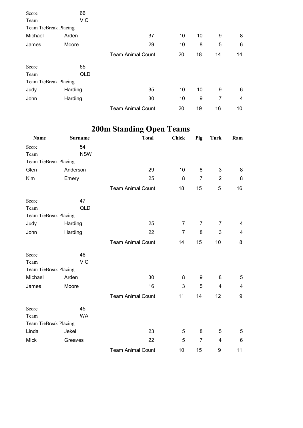| Score                 | 66         |                          |    |    |    |    |
|-----------------------|------------|--------------------------|----|----|----|----|
| Team                  | <b>VIC</b> |                          |    |    |    |    |
| Team TieBreak Placing |            |                          |    |    |    |    |
| Michael               | Arden      | 37                       | 10 | 10 | 9  | 8  |
| James                 | Moore      | 29                       | 10 | 8  | 5  | 6  |
|                       |            | <b>Team Animal Count</b> | 20 | 18 | 14 | 14 |
| Score                 | 65         |                          |    |    |    |    |
| Team                  | QLD        |                          |    |    |    |    |
| Team TieBreak Placing |            |                          |    |    |    |    |
| Judy                  | Harding    | 35                       | 10 | 10 | 9  | 6  |
| John                  | Harding    | 30                       | 10 | 9  | 7  | 4  |
|                       |            | <b>Team Animal Count</b> | 20 | 19 | 16 | 10 |

# **200m Standing Open Teams**

| Name                  | <b>Surname</b> | <b>Total</b>             | <b>Chick</b>   | Pig            | <b>Turk</b>             | Ram |
|-----------------------|----------------|--------------------------|----------------|----------------|-------------------------|-----|
| Score                 | 54             |                          |                |                |                         |     |
| Team                  | <b>NSW</b>     |                          |                |                |                         |     |
| Team TieBreak Placing |                |                          |                |                |                         |     |
| Glen                  | Anderson       | 29                       | 10             | 8              | 3                       | 8   |
| Kim                   | Emery          | 25                       | 8              | $\overline{7}$ | $\overline{2}$          | 8   |
|                       |                | <b>Team Animal Count</b> | 18             | 15             | 5                       | 16  |
| Score                 | 47             |                          |                |                |                         |     |
| Team                  | <b>QLD</b>     |                          |                |                |                         |     |
| Team TieBreak Placing |                |                          |                |                |                         |     |
| Judy                  | Harding        | 25                       | 7              | 7              | 7                       | 4   |
| John                  | Harding        | 22                       | $\overline{7}$ | 8              | 3                       | 4   |
|                       |                | <b>Team Animal Count</b> | 14             | 15             | 10                      | 8   |
| Score                 | 46             |                          |                |                |                         |     |
| Team                  | <b>VIC</b>     |                          |                |                |                         |     |
| Team TieBreak Placing |                |                          |                |                |                         |     |
| Michael               | Arden          | 30                       | 8              | 9              | 8                       | 5   |
| James                 | Moore          | 16                       | 3              | 5              | $\overline{\mathbf{4}}$ | 4   |
|                       |                | <b>Team Animal Count</b> | 11             | 14             | 12                      | 9   |
| Score                 | 45             |                          |                |                |                         |     |
| Team                  | <b>WA</b>      |                          |                |                |                         |     |
| Team TieBreak Placing |                |                          |                |                |                         |     |
| Linda                 | Jekel          | 23                       | 5              | 8              | 5                       | 5   |
| <b>Mick</b>           | Greaves        | 22                       | 5              | $\overline{7}$ | $\overline{\mathbf{4}}$ | 6   |
|                       |                | <b>Team Animal Count</b> | 10             | 15             | 9                       | 11  |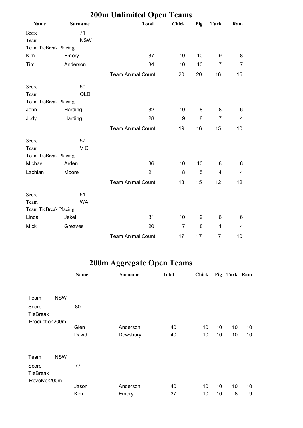|                       | <b>200m Unlimited Open Teams</b> |                          |                |                  |                |     |  |  |  |  |  |
|-----------------------|----------------------------------|--------------------------|----------------|------------------|----------------|-----|--|--|--|--|--|
| <b>Name</b>           | <b>Surname</b>                   | <b>Total</b>             | <b>Chick</b>   | Pig              | Turk           | Ram |  |  |  |  |  |
| Score                 | 71                               |                          |                |                  |                |     |  |  |  |  |  |
| Team                  | <b>NSW</b>                       |                          |                |                  |                |     |  |  |  |  |  |
| Team TieBreak Placing |                                  |                          |                |                  |                |     |  |  |  |  |  |
| Kim                   | Emery                            | 37                       | 10             | 10               | 9              | 8   |  |  |  |  |  |
| Tim                   | Anderson                         | 34                       | 10             | 10               | $\overline{7}$ | 7   |  |  |  |  |  |
|                       |                                  | <b>Team Animal Count</b> | 20             | 20               | 16             | 15  |  |  |  |  |  |
| Score                 | 60                               |                          |                |                  |                |     |  |  |  |  |  |
| Team                  | QLD                              |                          |                |                  |                |     |  |  |  |  |  |
| Team TieBreak Placing |                                  |                          |                |                  |                |     |  |  |  |  |  |
| John                  | Harding                          | 32                       | 10             | 8                | 8              | 6   |  |  |  |  |  |
| Judy                  | Harding                          | 28                       | 9              | 8                | 7              | 4   |  |  |  |  |  |
|                       |                                  | <b>Team Animal Count</b> | 19             | 16               | 15             | 10  |  |  |  |  |  |
| Score                 | 57                               |                          |                |                  |                |     |  |  |  |  |  |
| Team                  | <b>VIC</b>                       |                          |                |                  |                |     |  |  |  |  |  |
| Team TieBreak Placing |                                  |                          |                |                  |                |     |  |  |  |  |  |
| Michael               | Arden                            | 36                       | 10             | 10               | 8              | 8   |  |  |  |  |  |
| Lachlan               | Moore                            | 21                       | 8              | 5                | $\overline{4}$ | 4   |  |  |  |  |  |
|                       |                                  | <b>Team Animal Count</b> | 18             | 15               | 12             | 12  |  |  |  |  |  |
| Score                 | 51                               |                          |                |                  |                |     |  |  |  |  |  |
| Team                  | <b>WA</b>                        |                          |                |                  |                |     |  |  |  |  |  |
| Team TieBreak Placing |                                  |                          |                |                  |                |     |  |  |  |  |  |
| Linda                 | Jekel                            | 31                       | 10             | $\boldsymbol{9}$ | 6              | 6   |  |  |  |  |  |
| <b>Mick</b>           | Greaves                          | 20                       | $\overline{7}$ | 8                | $\mathbf{1}$   | 4   |  |  |  |  |  |
|                       |                                  | <b>Team Animal Count</b> | 17             | 17               | $\overline{7}$ | 10  |  |  |  |  |  |

# **200m Aggregate Open Teams**

|                          |            | Name  | <b>Surname</b> | <b>Total</b> | Chick |    | Pig Turk Ram |                 |
|--------------------------|------------|-------|----------------|--------------|-------|----|--------------|-----------------|
|                          |            |       |                |              |       |    |              |                 |
| Team                     | <b>NSW</b> |       |                |              |       |    |              |                 |
| Score<br><b>TieBreak</b> |            | 80    |                |              |       |    |              |                 |
| Production200m           |            |       |                |              |       |    |              |                 |
|                          |            | Glen  | Anderson       | 40           | 10    | 10 | 10           | 10              |
|                          |            | David | Dewsbury       | 40           | 10    | 10 | 10           | 10              |
| Team                     | <b>NSW</b> |       |                |              |       |    |              |                 |
| Score<br><b>TieBreak</b> |            | 77    |                |              |       |    |              |                 |
| Revolver200m             |            |       |                |              |       |    |              |                 |
|                          |            | Jason | Anderson       | 40           | 10    | 10 | 10           | 10 <sup>°</sup> |
|                          |            | Kim   | Emery          | 37           | 10    | 10 | 8            | 9               |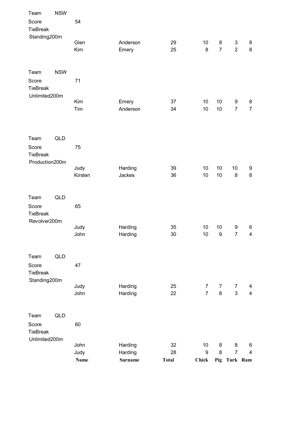| Team                                      | <b>NSW</b> |             |                |              |                 |                  |                           |                         |
|-------------------------------------------|------------|-------------|----------------|--------------|-----------------|------------------|---------------------------|-------------------------|
| Score<br><b>TieBreak</b><br>Standing200m  |            | 54          |                |              |                 |                  |                           |                         |
|                                           |            | Glen        | Anderson       | 29           | 10              | 8                | $\ensuremath{\mathsf{3}}$ | 8                       |
|                                           |            | Kim         | Emery          | 25           | $\bf 8$         | $\overline{7}$   | $\overline{2}$            | 8                       |
| Team                                      | <b>NSW</b> |             |                |              |                 |                  |                           |                         |
| Score<br><b>TieBreak</b><br>Unlimited200m |            | 71          |                |              |                 |                  |                           |                         |
|                                           |            | Kim         | Emery          | 37           | 10              | 10               | 9                         | 8                       |
|                                           |            | Tim         | Anderson       | 34           | 10              | 10               | $\overline{7}$            | $\overline{7}$          |
| Team                                      | <b>QLD</b> |             |                |              |                 |                  |                           |                         |
| Score<br><b>TieBreak</b>                  |            | 75          |                |              |                 |                  |                           |                         |
| Production200m                            |            | Judy        | Harding        | 39           | 10              | 10               | 10                        | 9                       |
|                                           |            | Kirsten     | Jackes         | 36           | 10              | 10               | 8                         | 8                       |
| Team                                      | QLD        |             |                |              |                 |                  |                           |                         |
| Score<br><b>TieBreak</b>                  |            | 65          |                |              |                 |                  |                           |                         |
| Revolver200m                              |            | Judy        | Harding        | 35           | 10              | 10               | 9                         | 6                       |
|                                           |            | John        | Harding        | 30           | 10              | $\boldsymbol{9}$ | $\overline{7}$            | $\overline{\mathbf{4}}$ |
| Team                                      | QLD        |             |                |              |                 |                  |                           |                         |
| Score<br><b>TieBreak</b>                  |            | 47          |                |              |                 |                  |                           |                         |
| Standing200m                              |            | Judy        | Harding        | 25           | $\overline{7}$  | $\overline{7}$   | 7                         | 4                       |
|                                           |            | John        | Harding        | 22           | $\overline{7}$  | $\bf 8$          | $\mathfrak{S}$            | $\overline{4}$          |
| Team                                      | QLD        |             |                |              |                 |                  |                           |                         |
| Score<br><b>TieBreak</b><br>Unlimited200m |            | 60          |                |              |                 |                  |                           |                         |
|                                           |            | John        | Harding        | 32           | 10 <sup>°</sup> | 8                | 8                         | 6                       |
|                                           |            | Judy        | Harding        | 28           | 9               | 8                | $\overline{7}$            | $\overline{4}$          |
|                                           |            | <b>Name</b> | <b>Surname</b> | <b>Total</b> | <b>Chick</b>    |                  | Pig Turk Ram              |                         |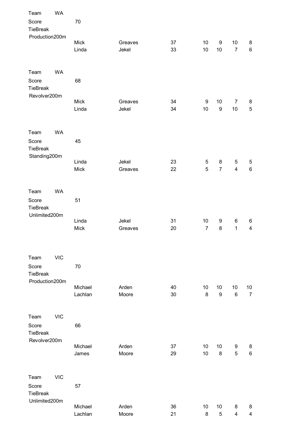| Team                     | WA         |                  |                |          |                  |                  |                         |                         |
|--------------------------|------------|------------------|----------------|----------|------------------|------------------|-------------------------|-------------------------|
| Score<br>TieBreak        |            | 70               |                |          |                  |                  |                         |                         |
| Production200m           |            | Mick             | Greaves        | 37       | 10               | 9                | 10                      | 8                       |
|                          |            | Linda            | Jekel          | 33       | 10               | 10               | $\overline{7}$          | $\,6\,$                 |
|                          |            |                  |                |          |                  |                  |                         |                         |
| Team                     | WA         |                  |                |          |                  |                  |                         |                         |
| Score<br><b>TieBreak</b> |            | 68               |                |          |                  |                  |                         |                         |
| Revolver200m             |            | Mick             | Greaves        | 34       | $\boldsymbol{9}$ | 10               | $\overline{7}$          | 8                       |
|                          |            | Linda            | Jekel          | 34       | 10               | $\boldsymbol{9}$ | 10                      | $\sqrt{5}$              |
| Team                     | <b>WA</b>  |                  |                |          |                  |                  |                         |                         |
| Score<br>TieBreak        |            | 45               |                |          |                  |                  |                         |                         |
| Standing200m             |            | Linda            | Jekel          | 23       | 5                | 8                | 5                       | 5                       |
|                          |            | Mick             | Greaves        | 22       | 5                | $\overline{7}$   | $\overline{\mathbf{4}}$ | 6                       |
|                          |            |                  |                |          |                  |                  |                         |                         |
| Team                     | WA         |                  |                |          |                  |                  |                         |                         |
| Score<br>TieBreak        |            | 51               |                |          |                  |                  |                         |                         |
| Unlimited200m            |            | Linda            | Jekel          | 31       | 10               | 9                | 6                       | 6                       |
|                          |            | Mick             | Greaves        | 20       | $\overline{7}$   | 8                | 1                       | $\overline{\mathbf{4}}$ |
|                          |            |                  |                |          |                  |                  |                         |                         |
| Team                     | <b>VIC</b> |                  |                |          |                  |                  |                         |                         |
| Score                    |            | 70               |                |          |                  |                  |                         |                         |
| TieBreak                 |            |                  |                |          |                  |                  |                         |                         |
| Production200m           |            | Michael          | Arden          | 40       | 10               | 10               | 10                      | $10$                    |
|                          |            | Lachlan          | Moore          | 30       | $\bf 8$          | $\boldsymbol{9}$ | $\,6$                   | $\overline{7}$          |
| Team                     | <b>VIC</b> |                  |                |          |                  |                  |                         |                         |
| Score                    |            | 66               |                |          |                  |                  |                         |                         |
| <b>TieBreak</b>          |            |                  |                |          |                  |                  |                         |                         |
| Revolver200m             |            |                  |                |          |                  |                  |                         |                         |
|                          |            | Michael<br>James | Arden<br>Moore | 37<br>29 | 10<br>10         | 10<br>8          | 9<br>5                  | 8<br>6                  |
|                          |            |                  |                |          |                  |                  |                         |                         |
| Team                     | <b>VIC</b> |                  |                |          |                  |                  |                         |                         |
| Score                    |            | 57               |                |          |                  |                  |                         |                         |
| <b>TieBreak</b>          |            |                  |                |          |                  |                  |                         |                         |
| Unlimited200m            |            | Michael          | Arden          | 36       | 10               | 10               | 8                       | 8                       |
|                          |            | Lachlan          | Moore          | 21       | 8                | 5                | 4                       | 4                       |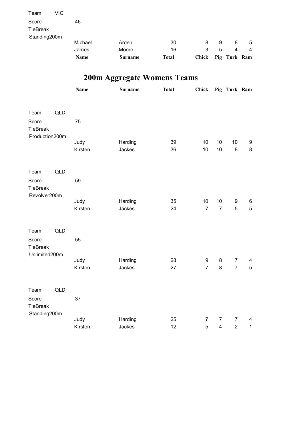|                   |     | Name    | <b>Surname</b> | <b>Total</b> | <b>Chick</b> |   | Pig Turk Ram   |   |
|-------------------|-----|---------|----------------|--------------|--------------|---|----------------|---|
|                   |     | James   | Moore          | 16           | 3            | 5 | $\overline{4}$ | 4 |
| Standing200m      |     | Michael | Arden          | 30           | 8            | 9 | 8              | 5 |
| Score<br>TieBreak |     | 46      |                |              |              |   |                |   |
|                   |     |         |                |              |              |   |                |   |
| Team              | VIC |         |                |              |              |   |                |   |

# **200m Aggregate Womens Teams**

|                                                   |     | <b>Name</b>     | Surname           | <b>Total</b> | <b>Chick</b>         |                                           | Pig Turk Ram                       |                                          |
|---------------------------------------------------|-----|-----------------|-------------------|--------------|----------------------|-------------------------------------------|------------------------------------|------------------------------------------|
| Team<br>Score<br>TieBreak                         | QLD | 75              |                   |              |                      |                                           |                                    |                                          |
| Production200m                                    |     | Judy<br>Kirsten | Harding<br>Jackes | 39<br>36     | 10<br>10             | 10<br>10                                  | 10<br>8                            | 9<br>$\bf 8$                             |
| Team<br>Score<br><b>TieBreak</b><br>Revolver200m  | QLD | 59              |                   |              |                      |                                           |                                    |                                          |
|                                                   |     | Judy<br>Kirsten | Harding<br>Jackes | 35<br>24     | 10<br>$\overline{7}$ | 10<br>$\overline{7}$                      | $\boldsymbol{9}$<br>5              | $\,6$<br>5                               |
| Team<br>Score<br><b>TieBreak</b><br>Unlimited200m | QLD | 55              |                   |              |                      |                                           |                                    |                                          |
|                                                   |     | Judy<br>Kirsten | Harding<br>Jackes | 28<br>27     | 9<br>$\overline{7}$  | 8<br>8                                    | $\boldsymbol{7}$<br>$\overline{7}$ | 4<br>$\overline{5}$                      |
| Team<br>Score<br>TieBreak                         | QLD | 37              |                   |              |                      |                                           |                                    |                                          |
| Standing200m                                      |     | Judy<br>Kirsten | Harding<br>Jackes | 25<br>12     | $\overline{7}$<br>5  | $\overline{7}$<br>$\overline{\mathbf{4}}$ | 7<br>$\overline{2}$                | $\overline{\mathcal{A}}$<br>$\mathbf{1}$ |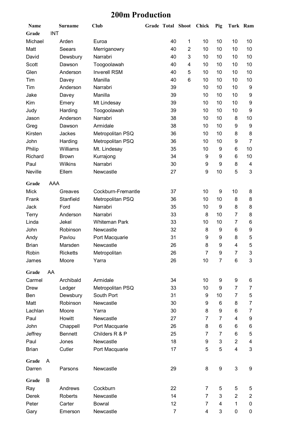#### **200m Production**

| <b>Name</b>  |            | Surname            | <b>Club</b>          | <b>Grade Total Shoot</b> |          |                | <b>Chick</b> | Pig    | Turk Ram                |                |
|--------------|------------|--------------------|----------------------|--------------------------|----------|----------------|--------------|--------|-------------------------|----------------|
| Grade        | <b>INT</b> |                    |                      |                          |          |                |              |        |                         |                |
| Michael      |            | Arden              | Euroa                |                          | 40       | 1              | 10           | 10     | 10                      | 10             |
| Matt         |            | Seears             | Merriganowry         |                          | 40       | $\overline{2}$ | 10           | 10     | 10                      | 10             |
| David        |            | Dewsbury           | Narrabri             |                          | 40       | 3              | 10           | 10     | 10                      | 10             |
| Scott        |            | Dawson             | Toogoolawah          |                          | 40       | 4              | 10           | 10     | 10                      | 10             |
| Glen         |            | Anderson           | <b>Inverell RSM</b>  |                          | 40       | 5              | 10           | 10     | 10                      | 10             |
| Tim          |            | Davey              | Manilla              |                          | 40       | 6              | 10           | 10     | 10                      | 10             |
| Tim          |            | Anderson           | Narrabri             |                          | 39       |                | 10           | 10     | 10                      | 9              |
| Jake         |            | Davey              | Manilla              |                          | 39       |                | 10           | 10     | 10                      | 9              |
| Kim          |            | Emery              | Mt Lindesay          |                          | 39       |                | 10           | 10     | 10                      | 9              |
| Judy         |            | Harding            | Toogoolawah          |                          | 39       |                | 10           | 10     | 10                      | 9              |
| Jason        |            | Anderson           | Narrabri             |                          | 38       |                | 10           | 10     | 8                       | 10             |
| Greg         |            | Dawson             | Armidale             |                          | 38       |                | 10           | 10     | 9                       | 9              |
| Kirsten      |            | Jackes             | Metropolitan PSQ     |                          | 36       |                | 10           | 10     | 8                       | 8              |
| John         |            | Harding            | Metropolitan PSQ     |                          | 36       |                | 10           | 10     | 9                       | $\overline{7}$ |
| Philip       |            | Williams           | Mt. Lindesay         |                          | 35       |                | 10           | 9      | 6                       | 10             |
| Richard      |            | <b>Brown</b>       | Kurrajong            |                          | 34       |                | 9            | 9      | 6                       | 10             |
| Paul         |            | Wilkins            | Narrabri             |                          | 30       |                | 9            | 9      | 8                       | 4              |
| Neville      |            | Ellem              | Newcastle            |                          | 27       |                | 9            | 10     | 5                       | 3              |
|              |            |                    |                      |                          |          |                |              |        |                         |                |
| Grade        | AAA        |                    |                      |                          |          |                |              |        |                         |                |
| <b>Mick</b>  |            | Greaves            | Cockburn-Fremantle   |                          | 37       |                | 10           | 9      | 10                      | 8              |
| Frank        |            | Stanfield          | Metropolitan PSQ     |                          | 36       |                | 10           | 10     | 8                       | 8              |
| Jack         |            | Ford               | Narrabri             |                          | 35       |                | 10           | 9      | 8                       | 8              |
| <b>Terry</b> |            | Anderson           | Narrabri             |                          | 33       |                | 8            | 10     | $\overline{7}$          | 8              |
| Linda        |            | Jekel              | <b>Whiteman Park</b> |                          | 33       |                | 10           | 10     | 7                       | 6              |
| John         |            | Robinson           | Newcastle            |                          | 32       |                | 8            | 9      | 6                       | 9              |
| Andy         |            | Pavlou             | Port Macquarie       |                          | 31       |                | 9            | 9      | 8                       | 5              |
| <b>Brian</b> |            | Marsden            | Newcastle            |                          | 26       |                | 8            | 9      | 4                       | 5              |
| Robin        |            | <b>Ricketts</b>    | Metropolitan         |                          | 26       |                | 7            | 9      | 7                       | 3              |
| James        |            | Moore              | Yarra                |                          | 26       |                | 10           | 7      | 6                       | 3              |
| Grade        | AA         |                    |                      |                          |          |                |              |        |                         |                |
| Carmel       |            | Archibald          | Armidale             |                          | 34       |                | 10           | 9      | 9                       | 6              |
| <b>Drew</b>  |            | Ledger             | Metropolitan PSQ     |                          | 33       |                | 10           | 9      | 7                       | 7              |
| Ben          |            | Dewsbury           | South Port           |                          | 31       |                | 9            | 10     | 7                       | 5              |
| Matt         |            | Robinson           | Newcastle            |                          | 30       |                | 9            | 6      | 8                       | $\overline{7}$ |
| Lachlan      |            | Moore              | Yarra                |                          | 30       |                | 8            | 9      | 6                       | 7              |
| Paul         |            | Howitt             | Newcastle            |                          | 27       |                | 7            | 7      | 4                       | 9              |
| John         |            | Chappell           | Port Macquarie       |                          | 26       |                | 8            | 6      | 6                       | 6              |
| Jeffrey      |            | <b>Bennett</b>     | Childers R & P       |                          | 25       |                | 7            | 7      | 6                       | 5              |
| Paul         |            | Jones              | Newcastle            |                          | 18       |                | 9            | 3      | $\overline{2}$          | 4              |
| <b>Brian</b> |            | Cutler             | Port Macquarie       |                          | 17       |                | 5            | 5      | $\overline{\mathbf{4}}$ | 3              |
|              |            |                    |                      |                          |          |                |              |        |                         |                |
| Grade        | A          |                    |                      |                          |          |                |              |        |                         |                |
| Darren       |            | Parsons            | Newcastle            |                          | 29       |                | 8            | 9      | 3                       | 9              |
| Grade        | B          |                    |                      |                          |          |                |              |        |                         |                |
|              |            |                    | Cockburn             |                          |          |                |              |        |                         |                |
| Ray          |            | Andrews<br>Roberts | Newcastle            |                          | 22<br>14 |                | 7<br>7       | 5<br>3 | 5                       | 5              |
| Derek        |            |                    |                      |                          |          |                |              |        | $\overline{2}$          | $\overline{2}$ |
| Peter        |            | Carter             | <b>Bowral</b>        |                          | 12       |                | 7            | 4      | 1                       | 0              |
| Gary         |            | Emerson            | Newcastle            |                          | 7        |                | 4            | 3      | 0                       | 0              |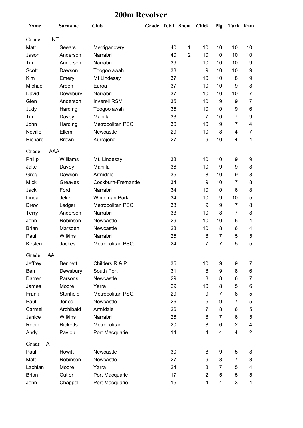#### **200m Revolver**

| <b>Name</b>  |            | <b>Surname</b>  | <b>Club</b>          | <b>Grade Total Shoot</b> |    |                | <b>Chick</b>   | Pig            | Turk Ram       |                |
|--------------|------------|-----------------|----------------------|--------------------------|----|----------------|----------------|----------------|----------------|----------------|
| Grade        | <b>INT</b> |                 |                      |                          |    |                |                |                |                |                |
| Matt         |            | Seears          | Merriganowry         |                          | 40 | 1              | 10             | 10             | 10             | 10             |
| Jason        |            | Anderson        | Narrabri             |                          | 40 | $\overline{2}$ | 10             | 10             | 10             | 10             |
| Tim          |            | Anderson        | Narrabri             |                          | 39 |                | 10             | 10             | 10             | 9              |
| <b>Scott</b> |            | Dawson          | Toogoolawah          |                          | 38 |                | 9              | 10             | 10             | 9              |
| Kim          |            | Emery           | Mt Lindesay          |                          | 37 |                | 10             | 10             | 8              | 9              |
| Michael      |            | Arden           | Euroa                |                          | 37 |                | 10             | 10             | 9              | 8              |
| David        |            | Dewsbury        | Narrabri             |                          | 37 |                | 10             | 10             | 10             | $\overline{7}$ |
| Glen         |            | Anderson        | <b>Inverell RSM</b>  |                          | 35 |                | 10             | 9              | 9              | 7              |
| Judy         |            | Harding         | Toogoolawah          |                          | 35 |                | 10             | 10             | 9              | 6              |
| Tim          |            | Davey           | Manilla              |                          | 33 |                | 7              | 10             | $\overline{7}$ | 9              |
| John         |            | Harding         | Metropolitan PSQ     |                          | 30 |                | 10             | 9              | 7              | 4              |
| Neville      |            | Ellem           | Newcastle            |                          | 29 |                | 10             | 8              | 4              | 7              |
| Richard      |            | <b>Brown</b>    | Kurrajong            |                          | 27 |                | 9              | 10             | 4              | 4              |
| Grade        | AAA        |                 |                      |                          |    |                |                |                |                |                |
| Philip       |            | Williams        | Mt. Lindesay         |                          | 38 |                | 10             | 10             | 9              | 9              |
| Jake         |            | Davey           | Manilla              |                          | 36 |                | 10             | 9              | 9              | 8              |
| Greg         |            | Dawson          | Armidale             |                          | 35 |                | 8              | 10             | 9              | 8              |
| <b>Mick</b>  |            | Greaves         | Cockburn-Fremantle   |                          | 34 |                | 9              | 10             | 7              | 8              |
| Jack         |            | Ford            | Narrabri             |                          | 34 |                | 10             | 10             | 6              | 8              |
| Linda        |            | Jekel           | <b>Whiteman Park</b> |                          | 34 |                | 10             | 9              | 10             | 5              |
| <b>Drew</b>  |            | Ledger          | Metropolitan PSQ     |                          | 33 |                | 9              | 9              | 7              | 8              |
| Terry        |            | Anderson        | Narrabri             |                          | 33 |                | 10             | 8              | 7              | 8              |
| John         |            | Robinson        | Newcastle            |                          | 29 |                | 10             | 10             | 5              | 4              |
| <b>Brian</b> |            | Marsden         | Newcastle            |                          | 28 |                | 10             | 8              | 6              | 4              |
| Paul         |            | <b>Wilkins</b>  | Narrabri             |                          | 25 |                | 8              | 7              | 5              | 5              |
| Kirsten      |            | Jackes          | Metropolitan PSQ     |                          | 24 |                | $\overline{7}$ | $\overline{7}$ | 5              | 5              |
| Grade        | AA         |                 |                      |                          |    |                |                |                |                |                |
| Jeffrey      |            | <b>Bennett</b>  | Childers R & P       |                          | 35 |                | 10             | 9              | 9              | 7              |
| Ben          |            | Dewsbury        | South Port           |                          | 31 |                | 8              | 9              | 8              | 6              |
| Darren       |            | Parsons         | Newcastle            |                          | 29 |                | 8              | 8              | 6              | 7              |
| James        |            | Moore           | Yarra                |                          | 29 |                | 10             | 8              | 5              | 6              |
| Frank        |            | Stanfield       | Metropolitan PSQ     |                          | 29 |                | 9              | 7              | 8              | 5              |
| Paul         |            | Jones           | Newcastle            |                          | 26 |                | 5              | 9              | 7              | 5              |
| Carmel       |            | Archibald       | Armidale             |                          | 26 |                | 7              | 8              | 6              | 5              |
| Janice       |            | Wilkins         | Narrabri             |                          | 26 |                | 8              | 7              | 6              | 5              |
| Robin        |            | <b>Ricketts</b> | Metropolitan         |                          | 20 |                | 8              | 6              | $\overline{2}$ | 4              |
| Andy         |            | Pavlou          | Port Macquarie       |                          | 14 |                | 4              | 4              | 4              | $\overline{2}$ |
| Grade        | A          |                 |                      |                          |    |                |                |                |                |                |
| Paul         |            | Howitt          | Newcastle            |                          | 30 |                | 8              | 9              | 5              | 8              |
| Matt         |            | Robinson        | Newcastle            |                          | 27 |                | 9              | 8              | 7              | 3              |
| Lachlan      |            | Moore           | Yarra                |                          | 24 |                | 8              | $\overline{7}$ | 5              | 4              |
| <b>Brian</b> |            | Cutler          | Port Macquarie       |                          | 17 |                | $\overline{2}$ | 5              | 5              | 5              |
| John         |            | Chappell        | Port Macquarie       |                          | 15 |                | 4              | 4              | 3              | 4              |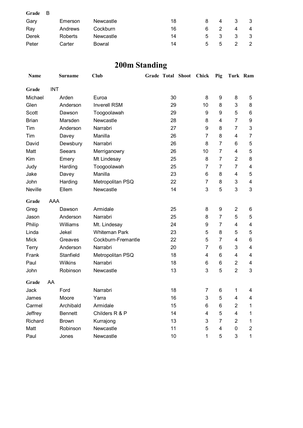| Grade | - B |         |           |    |              |              |   |   |
|-------|-----|---------|-----------|----|--------------|--------------|---|---|
| Gary  |     | Emerson | Newcastle | 18 |              | 4            | 3 |   |
| Ray   |     | Andrews | Cockburn  | 16 | 6            |              |   | 4 |
| Derek |     | Roberts | Newcastle | 14 | 5            | 3            | 3 |   |
| Peter |     | Carter  | Bowral    | 14 | $\mathbf{b}$ | <sub>5</sub> |   |   |

# **200m Standing**

| Name         |            | <b>Surname</b> | <b>Club</b>          | Grade Total Shoot | Chick          | Pig            | Turk Ram       |                |
|--------------|------------|----------------|----------------------|-------------------|----------------|----------------|----------------|----------------|
| Grade        | <b>INT</b> |                |                      |                   |                |                |                |                |
| Michael      |            | Arden          | Euroa                | 30                | 8              | 9              | 8              | 5              |
| Glen         |            | Anderson       | <b>Inverell RSM</b>  | 29                | 10             | 8              | 3              | 8              |
| Scott        |            | Dawson         | Toogoolawah          | 29                | 9              | 9              | 5              | 6              |
| <b>Brian</b> |            | Marsden        | Newcastle            | 28                | 8              | 4              | 7              | 9              |
| Tim          |            | Anderson       | Narrabri             | 27                | 9              | 8              | 7              | 3              |
| Tim          |            | Davey          | Manilla              | 26                | $\overline{7}$ | 8              | 4              | $\overline{7}$ |
| David        |            | Dewsbury       | Narrabri             | 26                | 8              | $\overline{7}$ | 6              | $\mathbf 5$    |
| Matt         |            | Seears         | Merriganowry         | 26                | 10             | $\overline{7}$ | 4              | $\mathbf 5$    |
| Kim          |            | Emery          | Mt Lindesay          | 25                | 8              | 7              | $\overline{2}$ | 8              |
| Judy         |            | Harding        | Toogoolawah          | 25                | $\overline{7}$ | 7              | 7              | 4              |
| Jake         |            | Davey          | Manilla              | 23                | 6              | 8              | 4              | 5              |
| John         |            | Harding        | Metropolitan PSQ     | 22                | $\overline{7}$ | 8              | 3              | 4              |
| Neville      |            | Ellem          | Newcastle            | 14                | 3              | 5              | 3              | 3              |
| Grade        | AAA        |                |                      |                   |                |                |                |                |
| Greg         |            | Dawson         | Armidale             | 25                | 8              | 9              | $\overline{2}$ | 6              |
| Jason        |            | Anderson       | Narrabri             | 25                | 8              | 7              | 5              | 5              |
| Philip       |            | Williams       | Mt. Lindesay         | 24                | 9              | 7              | 4              | 4              |
| Linda        |            | Jekel          | <b>Whiteman Park</b> | 23                | 5              | 8              | 5              | $\mathbf 5$    |
| <b>Mick</b>  |            | Greaves        | Cockburn-Fremantle   | 22                | 5              | 7              | 4              | 6              |
| Terry        |            | Anderson       | Narrabri             | 20                | $\overline{7}$ | 6              | 3              | 4              |
| Frank        |            | Stanfield      | Metropolitan PSQ     | 18                | 4              | 6              | 4              | 4              |
| Paul         |            | Wilkins        | Narrabri             | 18                | 6              | 6              | $\overline{2}$ | 4              |
| John         |            | Robinson       | Newcastle            | 13                | 3              | 5              | $\overline{2}$ | 3              |
| Grade        | AA         |                |                      |                   |                |                |                |                |
| Jack         |            | Ford           | Narrabri             | 18                | $\overline{7}$ | 6              | 1              | 4              |
| James        |            | Moore          | Yarra                | 16                | 3              | 5              | 4              | 4              |
| Carmel       |            | Archibald      | Armidale             | 15                | 6              | 6              | $\overline{2}$ | 1              |
| Jeffrey      |            | <b>Bennett</b> | Childers R & P       | 14                | 4              | 5              | 4              | 1              |
| Richard      |            | <b>Brown</b>   | Kurrajong            | 13                | 3              | 7              | $\overline{2}$ | 1              |
| Matt         |            | Robinson       | Newcastle            | 11                | 5              | 4              | 0              | $\overline{c}$ |
| Paul         |            | Jones          | Newcastle            | 10                | 1              | 5              | 3              | $\mathbf{1}$   |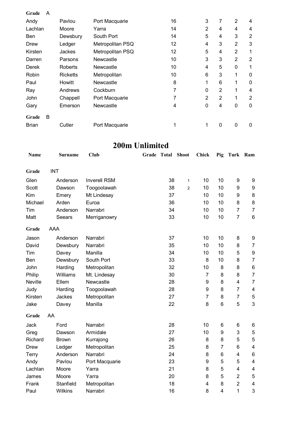| Grade        | A |                 |                  |    |                |   |                |                |
|--------------|---|-----------------|------------------|----|----------------|---|----------------|----------------|
| Andy         |   | Pavlou          | Port Macquarie   | 16 | 3              | 7 | $\overline{2}$ | 4              |
| Lachlan      |   | Moore           | Yarra            | 14 | $\overline{2}$ | 4 | 4              | 4              |
| <b>Ben</b>   |   | Dewsbury        | South Port       | 14 | 5              | 4 | 3              | $\overline{2}$ |
| Drew         |   | Ledger          | Metropolitan PSQ | 12 | 4              | 3 | $\overline{2}$ | 3              |
| Kirsten      |   | Jackes          | Metropolitan PSQ | 12 | 5              | 4 | $\overline{2}$ | 1              |
| Darren       |   | Parsons         | Newcastle        | 10 | 3              | 3 | $\overline{2}$ | $\overline{2}$ |
| Derek        |   | Roberts         | Newcastle        | 10 | 4              | 5 | $\Omega$       | 1              |
| Robin        |   | <b>Ricketts</b> | Metropolitan     | 10 | 6              | 3 | 1              | 0              |
| Paul         |   | Howitt          | Newcastle        | 8  | 1              | 6 | 1              | 0              |
| Ray          |   | Andrews         | Cockburn         | 7  | 0              | 2 | 1              | 4              |
| John         |   | Chappell        | Port Macquarie   | 7  | $\overline{2}$ | 2 | 1              | $\overline{2}$ |
| Gary         |   | Emerson         | Newcastle        | 4  | 0              | 4 | 0              | 0              |
| Grade        | B |                 |                  |    |                |   |                |                |
| <b>Brian</b> |   | Cutler          | Port Macquarie   | 1  | 1              | 0 | 0              | 0              |

### **200m Unlimited**

| Name        |     | <b>Surname</b> | <b>Club</b>         | Grade Total | <b>Shoot</b>   | Chick          | Pig            | Turk           | Ram                     |
|-------------|-----|----------------|---------------------|-------------|----------------|----------------|----------------|----------------|-------------------------|
| Grade       |     | <b>INT</b>     |                     |             |                |                |                |                |                         |
| Glen        |     | Anderson       | <b>Inverell RSM</b> | 38          | $\mathbf{1}$   | 10             | 10             | 9              | 9                       |
| Scott       |     | Dawson         | Toogoolawah         | 38          | $\overline{2}$ | 10             | 10             | 9              | 9                       |
| Kim         |     | Emery          | Mt Lindesay         | 37          |                | 10             | 10             | 9              | 8                       |
| Michael     |     | Arden          | Euroa               | 36          |                | 10             | 10             | 8              | 8                       |
| Tim         |     | Anderson       | Narrabri            | 34          |                | 10             | 10             | $\overline{7}$ | $\overline{7}$          |
| Matt        |     | Seears         | Merriganowry        | 33          |                | 10             | 10             | $\overline{7}$ | $\,6$                   |
| Grade       | AAA |                |                     |             |                |                |                |                |                         |
| Jason       |     | Anderson       | Narrabri            | 37          |                | 10             | 10             | 8              | 9                       |
| David       |     | Dewsbury       | Narrabri            | 35          |                | 10             | 10             | 8              | $\overline{7}$          |
| Tim         |     | Davey          | Manilla             | 34          |                | 10             | 10             | 5              | $\boldsymbol{9}$        |
| Ben         |     | Dewsbury       | South Port          | 33          |                | 8              | 10             | 8              | $\overline{7}$          |
| John        |     | Harding        | Metropolitan        | 32          |                | 10             | 8              | 8              | $\,6$                   |
| Philip      |     | Williams       | Mt. Lindesay        | 30          |                | $\overline{7}$ | 8              | 8              | $\overline{7}$          |
| Neville     |     | Ellem          | Newcastle           | 28          |                | 9              | 8              | 4              | $\overline{7}$          |
| Judy        |     | Harding        | Toogoolawah         | 28          |                | 9              | 8              | $\overline{7}$ | 4                       |
| Kirsten     |     | Jackes         | Metropolitan        | 27          |                | $\overline{7}$ | 8              | $\overline{7}$ | 5                       |
| Jake        |     | Davey          | Manilla             | 22          |                | 8              | $6\phantom{1}$ | 5              | 3                       |
| Grade       | AA  |                |                     |             |                |                |                |                |                         |
| Jack        |     | Ford           | Narrabri            | 28          |                | 10             | 6              | 6              | 6                       |
| Greg        |     | Dawson         | Armidale            | 27          |                | 10             | 9              | 3              | 5                       |
| Richard     |     | <b>Brown</b>   | Kurrajong           | 26          |                | 8              | 8              | 5              | 5                       |
| <b>Drew</b> |     | Ledger         | Metropolitan        | 25          |                | 8              | $\overline{7}$ | 6              | $\overline{\mathbf{4}}$ |
| Terry       |     | Anderson       | Narrabri            | 24          |                | 8              | 6              | 4              | 6                       |
| Andy        |     | Pavlou         | Port Macquarie      | 23          |                | 9              | 5              | 5              | $\overline{\mathbf{4}}$ |
| Lachlan     |     | Moore          | Yarra               | 21          |                | 8              | 5              | $\overline{4}$ | $\overline{\mathbf{4}}$ |
| James       |     | Moore          | Yarra               | 20          |                | 8              | 5              | $\overline{2}$ | 5                       |
| Frank       |     | Stanfield      | Metropolitan        | 18          |                | 4              | 8              | $\overline{2}$ | $\overline{\mathbf{4}}$ |
| Paul        |     | Wilkins        | Narrabri            | 16          |                | 8              | 4              | 1              | $\mathsf 3$             |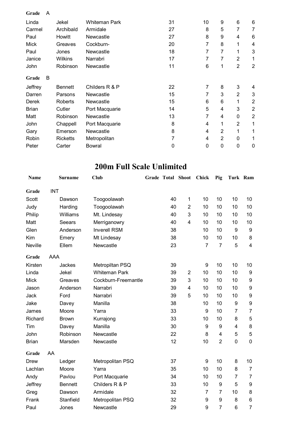| Grade        | A |                 |                |    |                |                |                |                |
|--------------|---|-----------------|----------------|----|----------------|----------------|----------------|----------------|
| Linda        |   | Jekel           | Whiteman Park  | 31 | 10             | 9              | 6              | 6              |
| Carmel       |   | Archibald       | Armidale       | 27 | 8              | 5              | 7              | 7              |
| Paul         |   | Howitt          | Newcastle      | 27 | 8              | 9              | 4              | 6              |
| <b>Mick</b>  |   | Greaves         | Cockburn-      | 20 | 7              | 8              | 1              | 4              |
| Paul         |   | Jones           | Newcastle      | 18 | 7              | 7              | 1              | 3              |
| Janice       |   | <b>Wilkins</b>  | Narrabri       | 17 | 7              | 7              | $\overline{2}$ | 1              |
| John         |   | Robinson        | Newcastle      | 11 | 6              | 1              | $\overline{2}$ | $\overline{2}$ |
| Grade        | B |                 |                |    |                |                |                |                |
| Jeffrey      |   | <b>Bennett</b>  | Childers R & P | 22 | $\overline{7}$ | 8              | 3              | 4              |
| Darren       |   | Parsons         | Newcastle      | 15 | 7              | 3              | $\overline{2}$ | 3              |
| <b>Derek</b> |   | Roberts         | Newcastle      | 15 | 6              | 6              | 1              | $\overline{2}$ |
| <b>Brian</b> |   | Cutler          | Port Macquarie | 14 | 5              | 4              | 3              | $\overline{2}$ |
| Matt         |   | Robinson        | Newcastle      | 13 | 7              | 4              | 0              | $\overline{2}$ |
| John         |   | Chappell        | Port Macquarie | 8  | 4              | 1              | $\overline{2}$ | 1              |
| Gary         |   | Emerson         | Newcastle      | 8  | 4              | $\overline{2}$ | 1              | $\mathbf 1$    |
| Robin        |   | <b>Ricketts</b> | Metropolitan   | 7  | 4              | 2              | 0              | 1              |
| Peter        |   | Carter          | Bowral         | 0  | 0              | 0              | 0              | $\mathbf 0$    |

### **200m Full Scale Unlimited**

| <b>Name</b>  |            | <b>Surname</b> | <b>Club</b>          | Grade Total Shoot |                         | Chick          | Pig              | Turk Ram                |                         |
|--------------|------------|----------------|----------------------|-------------------|-------------------------|----------------|------------------|-------------------------|-------------------------|
| Grade        | <b>INT</b> |                |                      |                   |                         |                |                  |                         |                         |
| Scott        |            | Dawson         | Toogoolawah          | 40                | 1                       | 10             | 10               | 10                      | 10                      |
| Judy         |            | Harding        | Toogoolawah          | 40                | $\overline{2}$          | 10             | 10               | 10                      | 10                      |
| Philip       |            | Williams       | Mt. Lindesay         | 40                | 3                       | 10             | 10               | 10                      | 10                      |
| Matt         |            | <b>Seears</b>  | Merriganowry         | 40                | $\overline{4}$          | 10             | 10               | 10                      | 10                      |
| Glen         |            | Anderson       | <b>Inverell RSM</b>  | 38                |                         | 10             | 10               | 9                       | $\boldsymbol{9}$        |
| Kim          |            | Emery          | Mt Lindesay          | 38                |                         | 10             | 10               | 10                      | 8                       |
| Neville      |            | Ellem          | Newcastle            | 23                |                         | $\overline{7}$ | $\overline{7}$   | 5                       | $\overline{\mathbf{4}}$ |
| Grade        | AAA        |                |                      |                   |                         |                |                  |                         |                         |
| Kirsten      |            | Jackes         | Metropiltan PSQ      | 39                |                         | 9              | 10               | 10                      | 10                      |
| Linda        |            | Jekel          | <b>Whiteman Park</b> | 39                | $\overline{2}$          | 10             | 10               | 10                      | 9                       |
| <b>Mick</b>  |            | Greaves        | Cockburn-Freemantle  | 39                | 3                       | 10             | 10               | 10                      | 9                       |
| Jason        |            | Anderson       | Narrabri             | 39                | $\overline{\mathbf{4}}$ | 10             | 10               | 10                      | 9                       |
| Jack         |            | Ford           | Narrabri             | 39                | 5                       | 10             | 10               | 10                      | 9                       |
| Jake         |            | Davey          | Manilla              | 38                |                         | 10             | 10               | 9                       | $\boldsymbol{9}$        |
| James        |            | Moore          | Yarra                | 33                |                         | 9              | 10               | $\overline{7}$          | $\overline{7}$          |
| Richard      |            | <b>Brown</b>   | Kurrajong            | 33                |                         | 10             | 10               | 8                       | 5                       |
| Tim          |            | Davey          | Manilla              | 30                |                         | 9              | 9                | $\overline{\mathbf{4}}$ | 8                       |
| John         |            | Robinson       | Newcastle            | 22                |                         | 8              | 4                | 5                       | $\mathbf 5$             |
| <b>Brian</b> |            | Marsden        | Newcastle            | 12                |                         | 10             | $\overline{2}$   | $\overline{0}$          | $\mathbf 0$             |
| Grade        | AA         |                |                      |                   |                         |                |                  |                         |                         |
| Drew         |            | Ledger         | Metropolitan PSQ     | 37                |                         | 9              | 10               | 8                       | 10                      |
| Lachlan      |            | Moore          | Yarra                | 35                |                         | 10             | 10               | 8                       | $\overline{7}$          |
| Andy         |            | Pavlou         | Port Macquarie       | 34                |                         | 10             | 10               | $\overline{7}$          | $\overline{7}$          |
| Jeffrey      |            | <b>Bennett</b> | Childers R & P       | 33                |                         | 10             | $\boldsymbol{9}$ | 5                       | 9                       |
| Greg         |            | Dawson         | Armidale             | 32                |                         | $\overline{7}$ | $\overline{7}$   | 10                      | $\bf 8$                 |
| Frank        |            | Stanfield      | Metropolitan PSQ     | 32                |                         | 9              | 9                | 8                       | 6                       |
| Paul         |            | Jones          | Newcastle            | 29                |                         | 9              | $\overline{7}$   | 6                       | $\overline{7}$          |